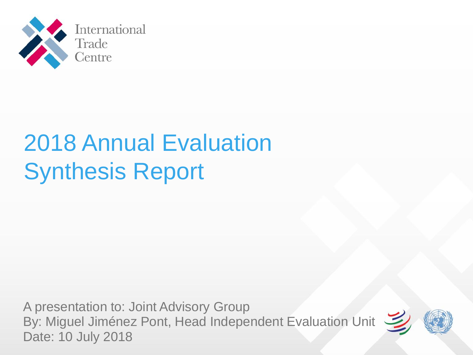

# 2018 Annual Evaluation Synthesis Report

A presentation to: Joint Advisory Group By: Miguel Jiménez Pont, Head Independent Evaluation Unit Date: 10 July 2018

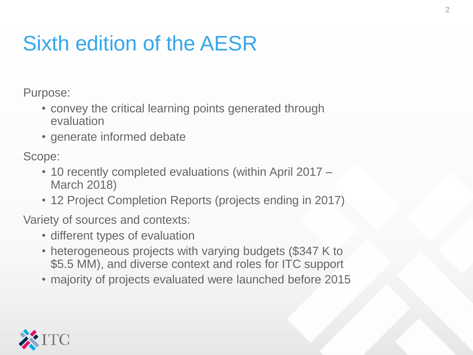# Sixth edition of the AESR

Purpose:

- convey the critical learning points generated through evaluation
- generate informed debate

Scope:

- 10 recently completed evaluations (within April 2017 March 2018)
- 12 Project Completion Reports (projects ending in 2017)

Variety of sources and contexts:

- different types of evaluation
- heterogeneous projects with varying budgets (\$347 K to \$5.5 MM), and diverse context and roles for ITC support
- majority of projects evaluated were launched before 2015

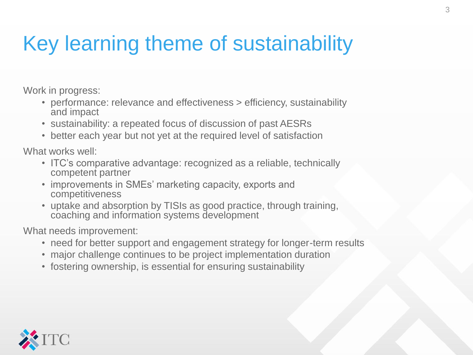### Key learning theme of sustainability

Work in progress:

- performance: relevance and effectiveness > efficiency, sustainability and impact
- sustainability: a repeated focus of discussion of past AESRs
- better each year but not yet at the required level of satisfaction

What works well:

- ITC's comparative advantage: recognized as a reliable, technically competent partner
- improvements in SMEs' marketing capacity, exports and competitiveness
- uptake and absorption by TISIs as good practice, through training, coaching and information systems development

What needs improvement:

- need for better support and engagement strategy for longer-term results
- major challenge continues to be project implementation duration
- fostering ownership, is essential for ensuring sustainability

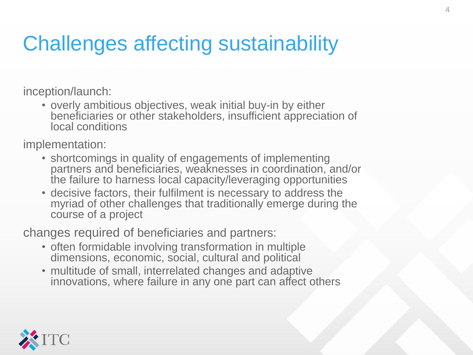### Challenges affecting sustainability

inception/launch:

• overly ambitious objectives, weak initial buy-in by either beneficiaries or other stakeholders, insufficient appreciation of local conditions

implementation:

- shortcomings in quality of engagements of implementing partners and beneficiaries, weaknesses in coordination, and/or the failure to harness local capacity/leveraging opportunities
- decisive factors, their fulfilment is necessary to address the myriad of other challenges that traditionally emerge during the course of a project

changes required of beneficiaries and partners:

- often formidable involving transformation in multiple dimensions, economic, social, cultural and political
- multitude of small, interrelated changes and adaptive innovations, where failure in any one part can affect others

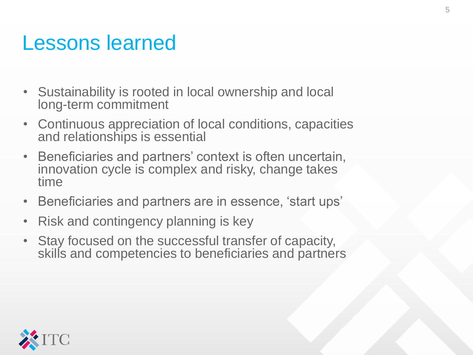#### Lessons learned

- Sustainability is rooted in local ownership and local long-term commitment
- Continuous appreciation of local conditions, capacities and relationships is essential
- Beneficiaries and partners' context is often uncertain, innovation cycle is complex and risky, change takes time
- Beneficiaries and partners are in essence, 'start ups'
- Risk and contingency planning is key
- Stay focused on the successful transfer of capacity, skills and competencies to beneficiaries and partners